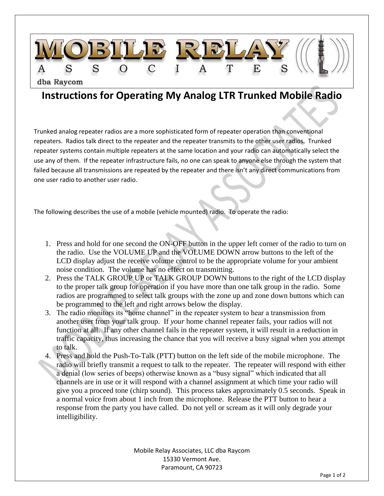

## **Instructions for Operating My Analog LTR Trunked Mobile Radio**

Trunked analog repeater radios are a more sophisticated form of repeater operation than conventional repeaters. Radios talk direct to the repeater and the repeater transmits to the other user radios. Trunked repeater systems contain multiple repeaters at the same location and your radio can automatically select the use any of them. If the repeater infrastructure fails, no one can speak to anyone else through the system that failed because all transmissions are repeated by the repeater and there isn't any direct communications from one user radio to another user radio.

The following describes the use of a mobile (vehicle mounted) radio. To operate the radio:

- 1. Press and hold for one second the ON-OFF button in the upper left corner of the radio to turn on the radio. Use the VOLUME UP and the VOLUME DOWN arrow buttons to the left of the LCD display adjust the receive volume control to be the appropriate volume for your ambient noise condition. The volume has no effect on transmitting.
- 2. Press the TALK GROUP UP or TALK GROUP DOWN buttons to the right of the LCD display to the proper talk group for operation if you have more than one talk group in the radio. Some radios are programmed to select talk groups with the zone up and zone down buttons which can be programmed to the left and right arrows below the display.
- 3. The radio monitors its "home channel" in the repeater system to hear a transmission from another user from your talk group. If *your* home channel repeater fails, your radios will not function at all. If any other channel fails in the repeater system, it will result in a reduction in traffic capacity, thus increasing the chance that you will receive a busy signal when you attempt to talk.
- 4. Press and hold the Push-To-Talk (PTT) button on the left side of the mobile microphone. The radio will briefly transmit a request to talk to the repeater. The repeater will respond with either a denial (low series of beeps) otherwise known as a "busy signal" which indicated that all channels are in use or it will respond with a channel assignment at which time your radio will give you a proceed tone (chirp sound). This process takes approximately 0.5 seconds. Speak in a normal voice from about 1 inch from the microphone. Release the PTT button to hear a response from the party you have called. Do not yell or scream as it will only degrade your intelligibility.

Mobile Relay Associates, LLC dba Raycom 15330 Vermont Ave. Paramount, CA 90723